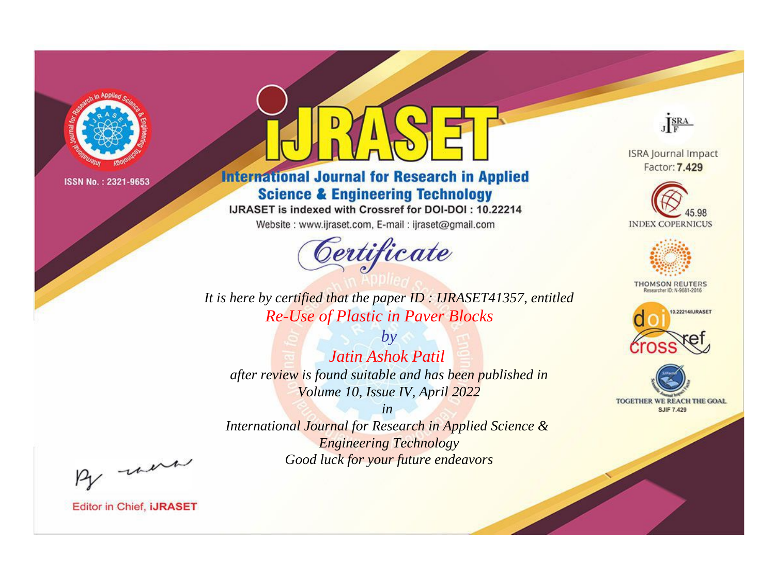

# **International Journal for Research in Applied Science & Engineering Technology**

IJRASET is indexed with Crossref for DOI-DOI: 10.22214

Website: www.ijraset.com, E-mail: ijraset@gmail.com



JERA

**ISRA Journal Impact** Factor: 7.429





**THOMSON REUTERS** 



TOGETHER WE REACH THE GOAL **SJIF 7.429** 

*It is here by certified that the paper ID : IJRASET41357, entitled Re-Use of Plastic in Paver Blocks*

*by Jatin Ashok Patil after review is found suitable and has been published in Volume 10, Issue IV, April 2022*

*in* 

*International Journal for Research in Applied Science & Engineering Technology Good luck for your future endeavors*

By morn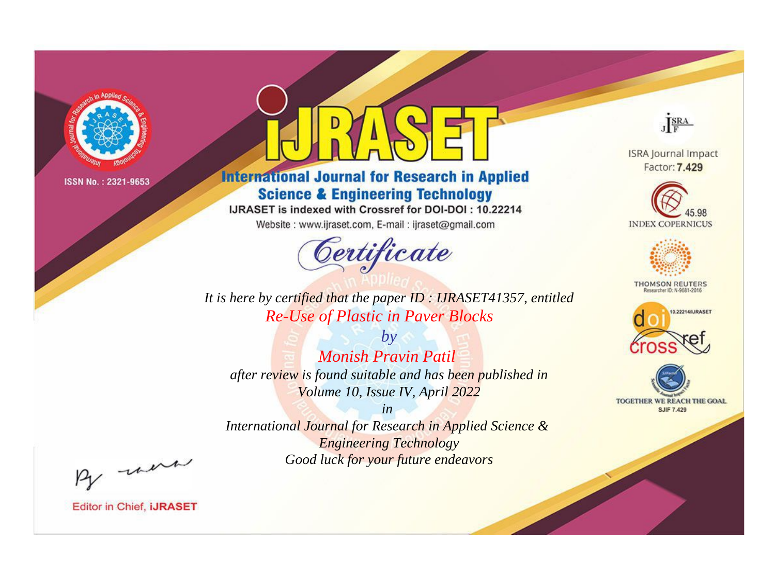

# **International Journal for Research in Applied Science & Engineering Technology**

IJRASET is indexed with Crossref for DOI-DOI: 10.22214

Website: www.ijraset.com, E-mail: ijraset@gmail.com



JERA

**ISRA Journal Impact** Factor: 7.429





**THOMSON REUTERS** 



TOGETHER WE REACH THE GOAL **SJIF 7.429** 

It is here by certified that the paper ID: IJRASET41357, entitled **Re-Use of Plastic in Paver Blocks** 

 $b\nu$ Monish Pravin Patil after review is found suitable and has been published in Volume 10, Issue IV, April 2022

 $in$ International Journal for Research in Applied Science & **Engineering Technology** Good luck for your future endeavors

By morn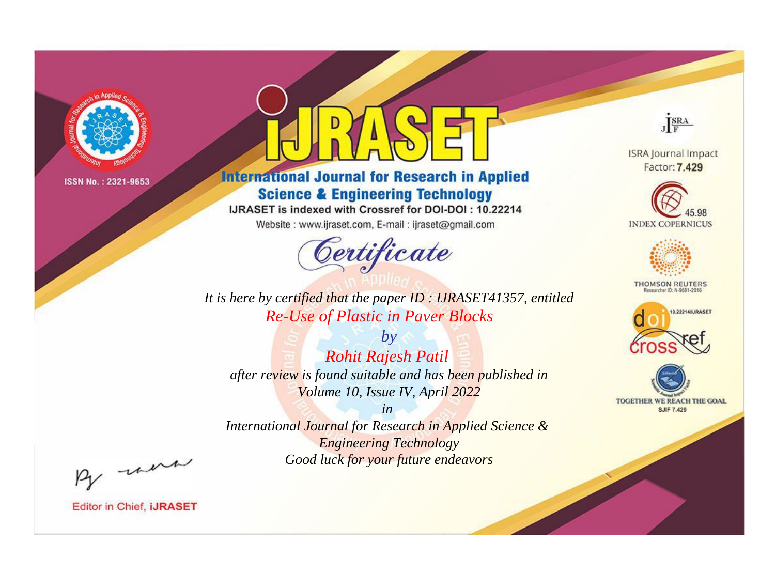

# **International Journal for Research in Applied Science & Engineering Technology**

IJRASET is indexed with Crossref for DOI-DOI: 10.22214

Website: www.ijraset.com, E-mail: ijraset@gmail.com



JERA

**ISRA Journal Impact** Factor: 7.429





**THOMSON REUTERS** 



TOGETHER WE REACH THE GOAL **SJIF 7.429** 

It is here by certified that the paper ID: IJRASET41357, entitled **Re-Use of Plastic in Paver Blocks** 

**Rohit Rajesh Patil** after review is found suitable and has been published in Volume 10, Issue IV, April 2022

 $by$ 

 $in$ International Journal for Research in Applied Science & **Engineering Technology** Good luck for your future endeavors

By morn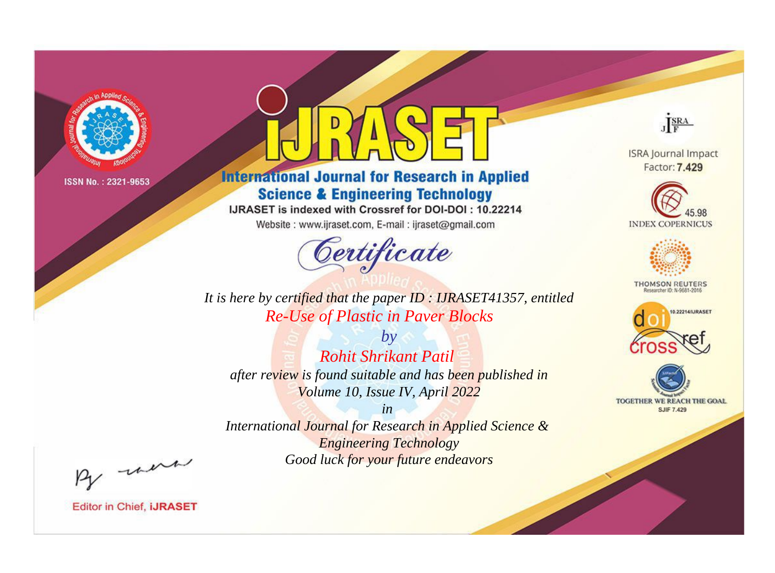

# **International Journal for Research in Applied Science & Engineering Technology**

IJRASET is indexed with Crossref for DOI-DOI: 10.22214

Website: www.ijraset.com, E-mail: ijraset@gmail.com



JERA

**ISRA Journal Impact** Factor: 7.429





**THOMSON REUTERS** 



TOGETHER WE REACH THE GOAL **SJIF 7.429** 

It is here by certified that the paper ID: IJRASET41357, entitled **Re-Use of Plastic in Paver Blocks** 

**Rohit Shrikant Patil** after review is found suitable and has been published in Volume 10, Issue IV, April 2022

 $b\nu$ 

 $in$ International Journal for Research in Applied Science & **Engineering Technology** Good luck for your future endeavors

By morn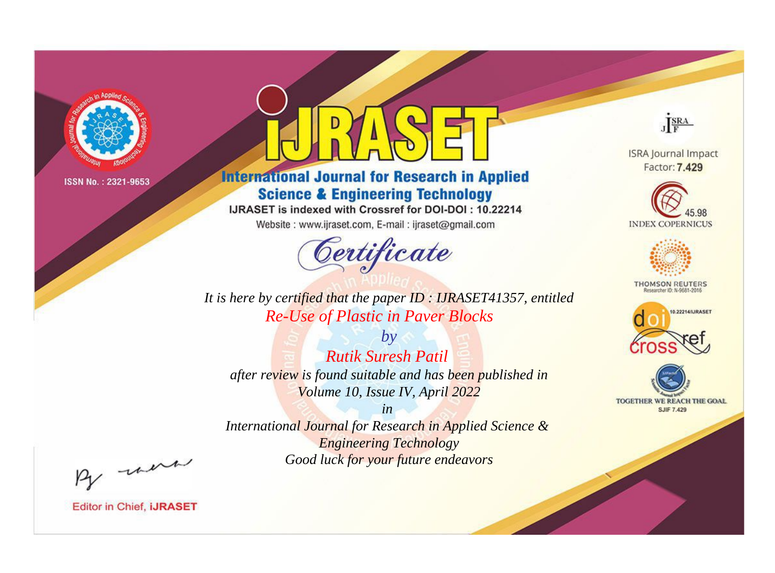

# **International Journal for Research in Applied Science & Engineering Technology**

IJRASET is indexed with Crossref for DOI-DOI: 10.22214

Website: www.ijraset.com, E-mail: ijraset@gmail.com



JERA

**ISRA Journal Impact** Factor: 7.429





**THOMSON REUTERS** 



TOGETHER WE REACH THE GOAL **SJIF 7.429** 

It is here by certified that the paper ID: IJRASET41357, entitled **Re-Use of Plastic in Paver Blocks** 

**Rutik Suresh Patil** after review is found suitable and has been published in Volume 10, Issue IV, April 2022

 $b\nu$ 

 $in$ International Journal for Research in Applied Science & **Engineering Technology** 

Good luck for your future endeavors

By morn